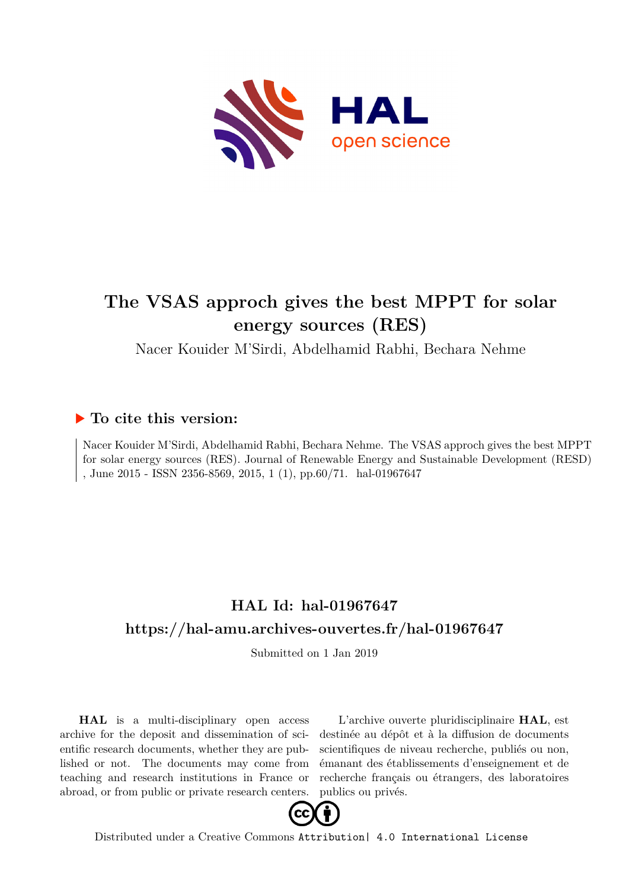

## **The VSAS approch gives the best MPPT for solar energy sources (RES)**

Nacer Kouider M'Sirdi, Abdelhamid Rabhi, Bechara Nehme

### **To cite this version:**

Nacer Kouider M'Sirdi, Abdelhamid Rabhi, Bechara Nehme. The VSAS approch gives the best MPPT for solar energy sources (RES). Journal of Renewable Energy and Sustainable Development (RESD) , June 2015 - ISSN 2356-8569, 2015, 1 $(1)$ , pp.60/71. hal-01967647

## **HAL Id: hal-01967647 <https://hal-amu.archives-ouvertes.fr/hal-01967647>**

Submitted on 1 Jan 2019

**HAL** is a multi-disciplinary open access archive for the deposit and dissemination of scientific research documents, whether they are published or not. The documents may come from teaching and research institutions in France or abroad, or from public or private research centers.

L'archive ouverte pluridisciplinaire **HAL**, est destinée au dépôt et à la diffusion de documents scientifiques de niveau recherche, publiés ou non, émanant des établissements d'enseignement et de recherche français ou étrangers, des laboratoires publics ou privés.



Distributed under a Creative Commons [Attribution| 4.0 International License](http://creativecommons.org/licenses/by/4.0/)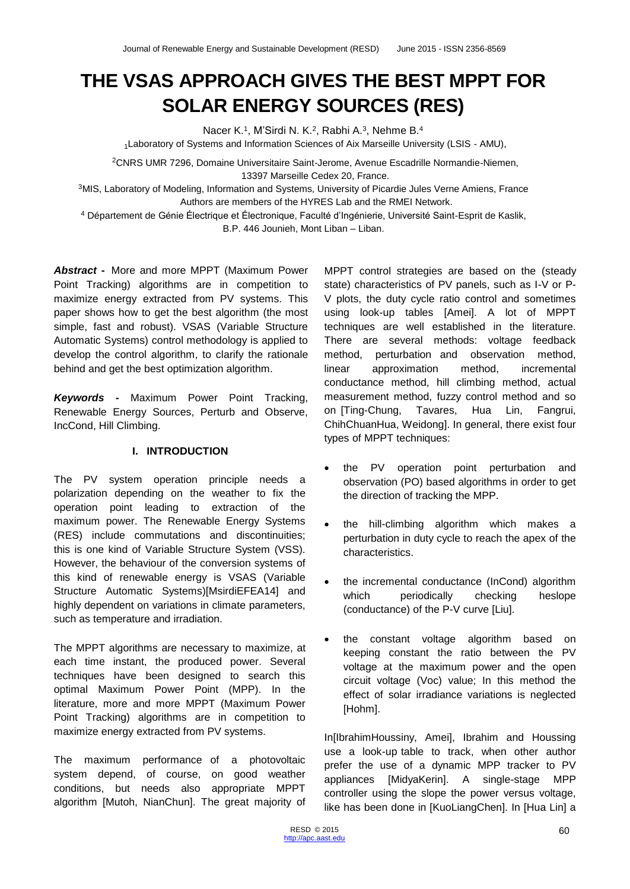# **THE VSAS APPROACH GIVES THE BEST MPPT FOR SOLAR ENERGY SOURCES (RES)**

Nacer K.<sup>1</sup>, M'Sirdi N. K.<sup>2</sup>, Rabhi A.<sup>3</sup>, Nehme B.<sup>4</sup>

1Laboratory of Systems and Information Sciences of Aix Marseille University (LSIS - AMU),

<sup>2</sup>CNRS UMR 7296, Domaine Universitaire Saint-Jerome, Avenue Escadrille Normandie-Niemen, 13397 Marseille Cedex 20, France.

<sup>3</sup>MIS, Laboratory of Modeling, Information and Systems, University of Picardie Jules Verne Amiens, France Authors are members of the HYRES Lab and the RMEI Network.

<sup>4</sup> Département de Génie Électrique et Électronique, Faculté d'Ingénierie, Université Saint-Esprit de Kaslik, B.P. 446 Jounieh, Mont Liban – Liban.

*Abstract* **-** More and more MPPT (Maximum Power Point Tracking) algorithms are in competition to maximize energy extracted from PV systems. This paper shows how to get the best algorithm (the most simple, fast and robust). VSAS (Variable Structure Automatic Systems) control methodology is applied to develop the control algorithm, to clarify the rationale behind and get the best optimization algorithm.

*Keywords* **-** Maximum Power Point Tracking, Renewable Energy Sources, Perturb and Observe, IncCond, Hill Climbing.

#### **I. INTRODUCTION**

The PV system operation principle needs a polarization depending on the weather to fix the operation point leading to extraction of the maximum power. The Renewable Energy Systems (RES) include commutations and discontinuities; this is one kind of Variable Structure System (VSS). However, the behaviour of the conversion systems of this kind of renewable energy is VSAS (Variable Structure Automatic Systems)[MsirdiEFEA14] and highly dependent on variations in climate parameters, such as temperature and irradiation.

The MPPT algorithms are necessary to maximize, at each time instant, the produced power. Several techniques have been designed to search this optimal Maximum Power Point (MPP). In the literature, more and more MPPT (Maximum Power Point Tracking) algorithms are in competition to maximize energy extracted from PV systems.

The maximum performance of a photovoltaic system depend, of course, on good weather conditions, but needs also appropriate MPPT algorithm [Mutoh, NianChun]. The great majority of MPPT control strategies are based on the (steady state) characteristics of PV panels, such as I-V or P-V plots, the duty cycle ratio control and sometimes using look-up tables [Amei]. A lot of MPPT techniques are well established in the literature. There are several methods: voltage feedback method, perturbation and observation method, linear approximation method, incremental conductance method, hill climbing method, actual measurement method, fuzzy control method and so on [Ting-Chung, Tavares, Hua Lin, Fangrui, ChihChuanHua, Weidong]. In general, there exist four types of MPPT techniques:

- the PV operation point perturbation and observation (PO) based algorithms in order to get the direction of tracking the MPP.
- the hill-climbing algorithm which makes a perturbation in duty cycle to reach the apex of the characteristics.
- the incremental conductance (InCond) algorithm which periodically checking heslope (conductance) of the P-V curve [Liu].
- the constant voltage algorithm based on keeping constant the ratio between the PV voltage at the maximum power and the open circuit voltage (Voc) value; In this method the effect of solar irradiance variations is neglected [Hohm].

In[IbrahimHoussiny, Amei], Ibrahim and Houssing use a look-up table to track, when other author prefer the use of a dynamic MPP tracker to PV appliances [MidyaKerin]. A single-stage MPP controller using the slope the power versus voltage, like has been done in [KuoLiangChen]. In [Hua Lin] a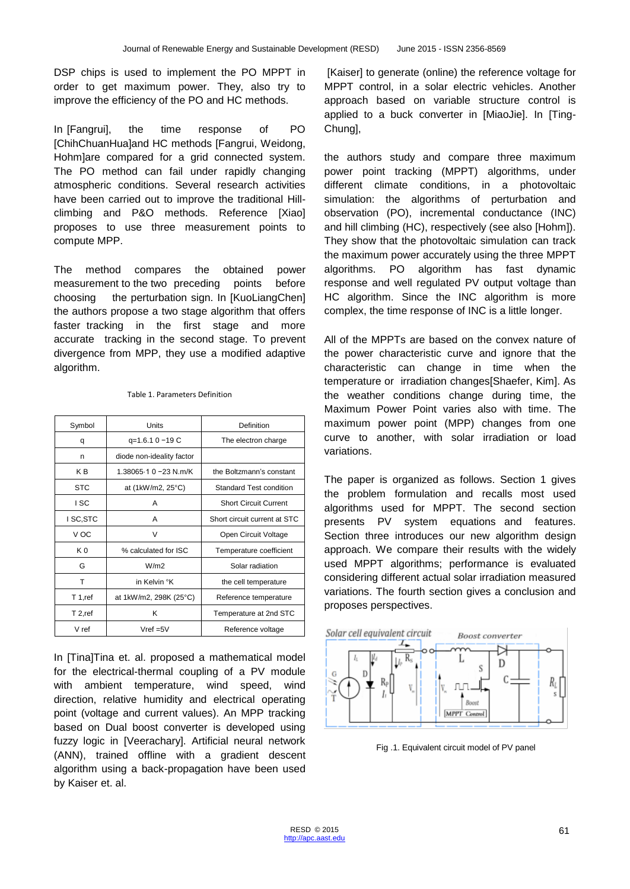DSP chips is used to implement the PO MPPT in order to get maximum power. They, also try to improve the efficiency of the PO and HC methods.

In [Fangrui], the time response of PO [ChihChuanHua]and HC methods [Fangrui, Weidong, Hohm]are compared for a grid connected system. The PO method can fail under rapidly changing atmospheric conditions. Several research activities have been carried out to improve the traditional Hillclimbing and P&O methods. Reference [Xiao] proposes to use three measurement points to compute MPP.

The method compares the obtained power measurement to the two preceding points before choosing the perturbation sign. In [KuoLiangChen] the authors propose a two stage algorithm that offers faster tracking in the first stage and more accurate tracking in the second stage. To prevent divergence from MPP, they use a modified adaptive algorithm.

| Symbol         | Units                     | Definition                   |
|----------------|---------------------------|------------------------------|
| q              | q=1.6.1 0 -19 C           | The electron charge          |
| n              | diode non-ideality factor |                              |
| K <sub>B</sub> | 1.38065-1 0 -23 N.m/K     | the Boltzmann's constant     |
| <b>STC</b>     | at (1kW/m2, 25°C)         | Standard Test condition      |
| I SC           | A                         | <b>Short Circuit Current</b> |
| I SC, STC      | Α                         | Short circuit current at STC |
| V OC           | V                         | Open Circuit Voltage         |
| K <sub>0</sub> | % calculated for ISC      | Temperature coefficient      |
| G              | W/m2                      | Solar radiation              |
| т              | in Kelvin °K              | the cell temperature         |
| T 1,ref        | at 1kW/m2, 298K (25°C)    | Reference temperature        |
| T 2,ref        | κ                         | Temperature at 2nd STC       |
| V ref          | $Vref = 5V$               | Reference voltage            |

#### Table 1. Parameters Definition

In [Tina]Tina et. al. proposed a mathematical model for the electrical-thermal coupling of a PV module with ambient temperature, wind speed, wind direction, relative humidity and electrical operating point (voltage and current values). An MPP tracking based on Dual boost converter is developed using fuzzy logic in [Veerachary]. Artificial neural network (ANN), trained offline with a gradient descent algorithm using a back-propagation have been used by Kaiser et. al.

[Kaiser] to generate (online) the reference voltage for MPPT control, in a solar electric vehicles. Another approach based on variable structure control is applied to a buck converter in [MiaoJie]. In [Ting-Chung],

the authors study and compare three maximum power point tracking (MPPT) algorithms, under different climate conditions, in a photovoltaic simulation: the algorithms of perturbation and observation (PO), incremental conductance (INC) and hill climbing (HC), respectively (see also [Hohm]). They show that the photovoltaic simulation can track the maximum power accurately using the three MPPT algorithms. PO algorithm has fast dynamic response and well regulated PV output voltage than HC algorithm. Since the INC algorithm is more complex, the time response of INC is a little longer.

All of the MPPTs are based on the convex nature of the power characteristic curve and ignore that the characteristic can change in time when the temperature or irradiation changes[Shaefer, Kim]. As the weather conditions change during time, the Maximum Power Point varies also with time. The maximum power point (MPP) changes from one curve to another, with solar irradiation or load variations.

The paper is organized as follows. Section 1 gives the problem formulation and recalls most used algorithms used for MPPT. The second section presents PV system equations and features. Section three introduces our new algorithm design approach. We compare their results with the widely used MPPT algorithms; performance is evaluated considering different actual solar irradiation measured variations. The fourth section gives a conclusion and proposes perspectives.



Fig .1. Equivalent circuit model of PV panel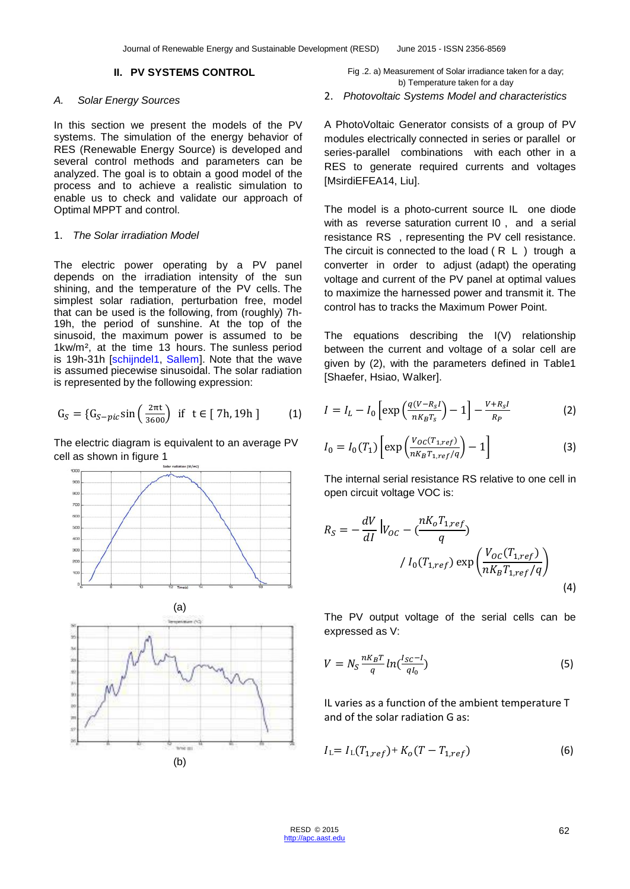#### **II. PV SYSTEMS CONTROL**

#### *A. Solar Energy Sources*

In this section we present the models of the PV systems. The simulation of the energy behavior of RES (Renewable Energy Source) is developed and several control methods and parameters can be analyzed. The goal is to obtain a good model of the process and to achieve a realistic simulation to enable us to check and validate our approach of Optimal MPPT and control.

#### 1. *The Solar irradiation Model*

The electric power operating by a PV panel depends on the irradiation intensity of the sun shining, and the temperature of the PV cells. The simplest solar radiation, perturbation free, model that can be used is the following, from (roughly) 7h-19h, the period of sunshine. At the top of the sinusoid, the maximum power is assumed to be 1kw/m², at the time 13 hours. The sunless period is 19h-31h [schijndel1, Sallem]. Note that the wave is assumed piecewise sinusoidal. The solar radiation is represented by the following expression:

$$
G_S = \{G_{S-pic}\sin\left(\frac{2\pi t}{3600}\right) \text{ if } t \in [7h, 19h] \tag{1}
$$

The electric diagram is equivalent to an average PV cell as shown in figure 1





Fig .2. a) Measurement of Solar irradiance taken for a day; b) Temperature taken for a day

2. *Photovoltaic Systems Model and characteristics*

A PhotoVoltaic Generator consists of a group of PV modules electrically connected in series or parallel or series-parallel combinations with each other in a RES to generate required currents and voltages [MsirdiEFEA14, Liu].

The model is a photo-current source IL one diode with as reverse saturation current I0, and a serial resistance RS , representing the PV cell resistance. The circuit is connected to the load  $(R L)$  trough a converter in order to adjust (adapt) the operating voltage and current of the PV panel at optimal values to maximize the harnessed power and transmit it. The control has to tracks the Maximum Power Point.

The equations describing the I(V) relationship between the current and voltage of a solar cell are given by (2), with the parameters defined in Table1 [Shaefer, Hsiao, Walker].

$$
I = I_L - I_0 \left[ \exp\left(\frac{q(V - R_S I)}{nK_B T_S}\right) - 1 \right] - \frac{V + R_S I}{R_P}
$$
 (2)

$$
I_0 = I_0(T_1) \left[ \exp\left(\frac{V_{OC}(T_{1,ref})}{n_{K_B T_{1,ref}/q}}\right) - 1 \right]
$$
 (3)

The internal serial resistance RS relative to one cell in open circuit voltage VOC is:

$$
R_S = -\frac{dV}{dl} \Big| V_{OC} - \left(\frac{nK_o T_{1,ref}}{q}\right)
$$

$$
/ I_0(T_{1,ref}) \exp\left(\frac{V_{OC}(T_{1,ref})}{nK_B T_{1,ref}/q}\right)
$$
(4)

The PV output voltage of the serial cells can be expressed as V:

$$
V = N_S \frac{nK_B T}{q} ln(\frac{I_{SC} - I}{qI_0})
$$
\n
$$
\tag{5}
$$

IL varies as a function of the ambient temperature T and of the solar radiation G as:

$$
I_{L} = I_{L}(T_{1,ref}) + K_{o}(T - T_{1,ref})
$$
\n(6)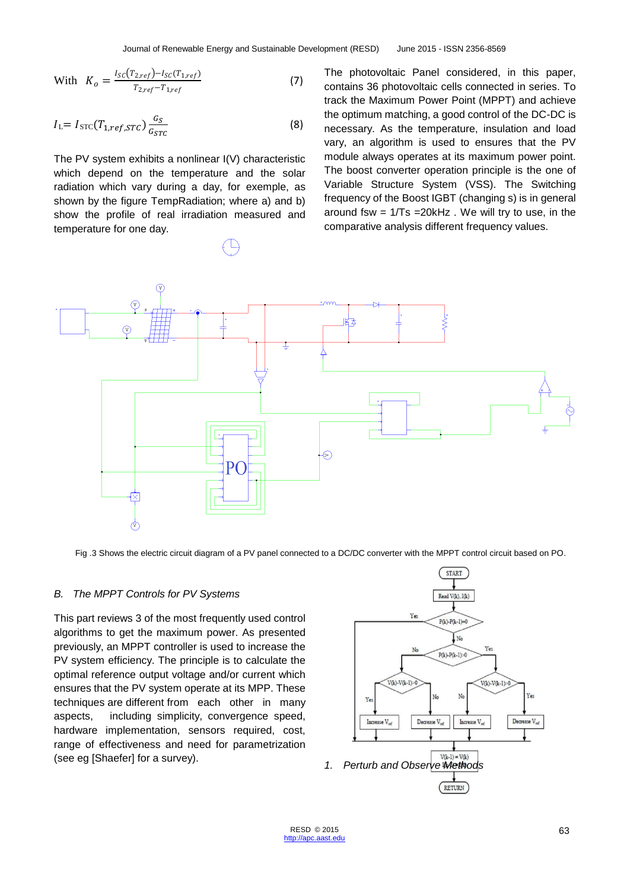With 
$$
K_o = \frac{I_{SC}(T_{2,ref}) - I_{SC}(T_{1,ref})}{T_{2,ref} - T_{1,ref}}
$$
 (7)

$$
I_{\rm L} = I_{\rm STC}(T_{1,ref,STC}) \frac{G_S}{G_{STC}}
$$
 (8)

The PV system exhibits a nonlinear I(V) characteristic which depend on the temperature and the solar radiation which vary during a day, for exemple, as shown by the figure TempRadiation; where a) and b) show the profile of real irradiation measured and temperature for one day.

The photovoltaic Panel considered, in this paper, contains 36 photovoltaic cells connected in series. To track the Maximum Power Point (MPPT) and achieve the optimum matching, a good control of the DC-DC is necessary. As the temperature, insulation and load vary, an algorithm is used to ensures that the PV module always operates at its maximum power point. The boost converter operation principle is the one of Variable Structure System (VSS). The Switching frequency of the Boost IGBT (changing s) is in general around fsw =  $1/Ts$  =  $20kHz$ . We will try to use, in the comparative analysis different frequency values.



Fig .3 Shows the electric circuit diagram of a PV panel connected to a DC/DC converter with the MPPT control circuit based on PO.

#### *B. The MPPT Controls for PV Systems*

This part reviews 3 of the most frequently used control algorithms to get the maximum power. As presented previously, an MPPT controller is used to increase the PV system efficiency. The principle is to calculate the optimal reference output voltage and/or current which ensures that the PV system operate at its MPP. These techniques are different from each other in many aspects, including simplicity, convergence speed, hardware implementation, sensors required, cost, range of effectiveness and need for parametrization (see eg [Shaefer] for a survey). *1. Perturb and Observe Methods*

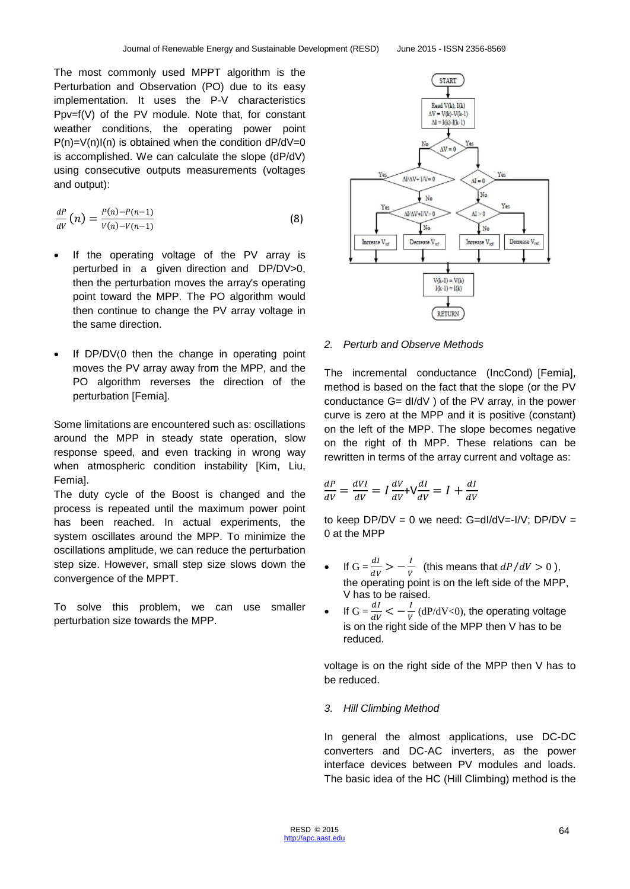The most commonly used MPPT algorithm is the Perturbation and Observation (PO) due to its easy implementation. It uses the P-V characteristics Ppv=f(V) of the PV module. Note that, for constant weather conditions, the operating power point  $P(n)=V(n)I(n)$  is obtained when the condition d $P/dV=0$ is accomplished. We can calculate the slope (dP/dV) using consecutive outputs measurements (voltages and output):

$$
\frac{dP}{dV}(n) = \frac{P(n) - P(n-1)}{V(n) - V(n-1)}
$$
(8)

- If the operating voltage of the PV array is perturbed in a given direction and DP/DV>0, then the perturbation moves the array's operating point toward the MPP. The PO algorithm would then continue to change the PV array voltage in the same direction.
- If DP/DV⟨0 then the change in operating point moves the PV array away from the MPP, and the PO algorithm reverses the direction of the perturbation [Femia].

Some limitations are encountered such as: oscillations around the MPP in steady state operation, slow response speed, and even tracking in wrong way when atmospheric condition instability [Kim, Liu, Femia].

The duty cycle of the Boost is changed and the process is repeated until the maximum power point has been reached. In actual experiments, the system oscillates around the MPP. To minimize the oscillations amplitude, we can reduce the perturbation step size. However, small step size slows down the convergence of the MPPT.

To solve this problem, we can use smaller perturbation size towards the MPP.



#### *2. Perturb and Observe Methods*

The incremental conductance (IncCond) [Femia], method is based on the fact that the slope (or the PV conductance G= dI/dV ) of the PV array, in the power curve is zero at the MPP and it is positive (constant) on the left of the MPP. The slope becomes negative on the right of th MPP. These relations can be rewritten in terms of the array current and voltage as:

$$
\frac{dP}{dV} = \frac{dVI}{dV} = I\frac{dV}{dV} + V\frac{dI}{dV} = I + \frac{dI}{dV}
$$

to keep  $DP/DV = 0$  we need:  $G=dI/dV=I/V$ ;  $DP/DV =$ 0 at the MPP

- If  $G = \frac{dI}{dV} > -\frac{I}{V}$  $\frac{1}{V}$  (this means that  $dP/dV > 0$ ), the operating point is on the left side of the MPP, V has to be raised.
- If  $G = \frac{dI}{dV} < -\frac{I}{V}$  $\frac{1}{V}$  (dP/dV<0), the operating voltage is on the right side of the MPP then V has to be reduced.

voltage is on the right side of the MPP then V has to be reduced.

#### *3. Hill Climbing Method*

In general the almost applications, use DC-DC converters and DC-AC inverters, as the power interface devices between PV modules and loads. The basic idea of the HC (Hill Climbing) method is the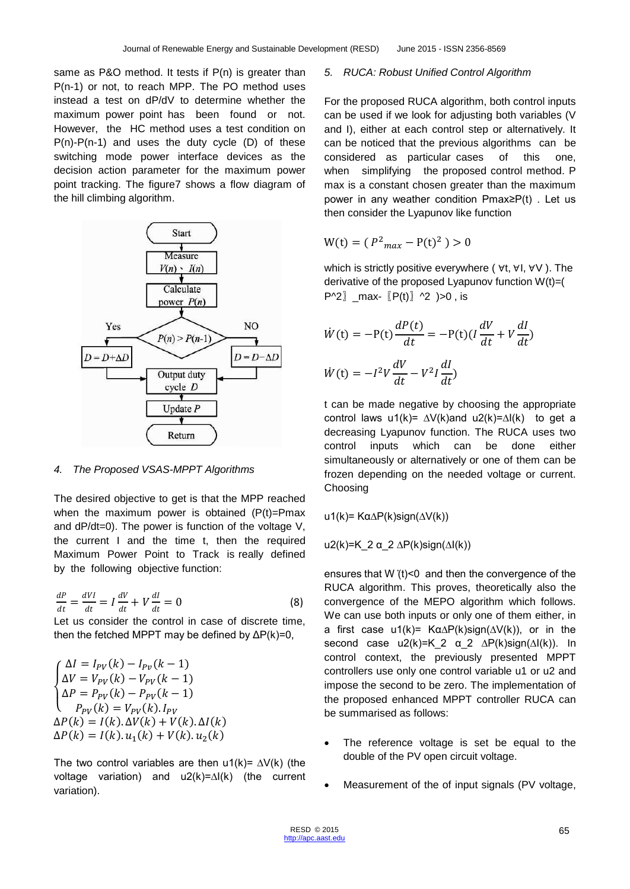same as P&O method. It tests if P(n) is greater than P(n-1) or not, to reach MPP. The PO method uses instead a test on dP/dV to determine whether the maximum power point has been found or not. However, the HC method uses a test condition on  $P(n)-P(n-1)$  and uses the duty cycle  $(D)$  of these switching mode power interface devices as the decision action parameter for the maximum power point tracking. The figure7 shows a flow diagram of the hill climbing algorithm.



#### *4. The Proposed VSAS-MPPT Algorithms*

The desired objective to get is that the MPP reached when the maximum power is obtained  $(P(t)=Pmax$ and dP/dt=0). The power is function of the voltage V, the current I and the time t, then the required Maximum Power Point to Track is really defined by the following objective function:

 $dP$  $\frac{dP}{dt} = \frac{dV}{dt}$  $\frac{dV}{dt} = I \frac{dV}{dt}$  $\frac{dV}{dt} + V\frac{dl}{dt}$  $\frac{du}{dt} = 0$  (8) Let us consider the control in case of discrete time,

then the fetched MPPT may be defined by  $\Delta P(k)=0$ ,

$$
\begin{cases}\n\Delta l = I_{PV}(k) - I_{PV}(k-1) \\
\Delta V = V_{PV}(k) - V_{PV}(k-1) \\
\Delta P = P_{PV}(k) - P_{PV}(k-1) \\
P_{PV}(k) = V_{PV}(k).I_{PV} \\
\Delta P(k) = I(k).\Delta V(k) + V(k).\Delta I(k) \\
\Delta P(k) = I(k).\mathfrak{u}_1(k) + V(k).\mathfrak{u}_2(k)\n\end{cases}
$$

The two control variables are then u1(k)=  $\Delta V(k)$  (the voltage variation) and u2(k)=∆I(k) (the current variation).

#### *5. RUCA: Robust Unified Control Algorithm*

For the proposed RUCA algorithm, both control inputs can be used if we look for adjusting both variables (V and I), either at each control step or alternatively. It can be noticed that the previous algorithms can be considered as particular cases of this one, when simplifying the proposed control method. P max is a constant chosen greater than the maximum power in any weather condition Pmax≥P(t) . Let us then consider the Lyapunov like function

$$
W(t) = (P^2_{max} - P(t)^2) > 0
$$

which is strictly positive everywhere ( ∀t, ∀I, ∀V ). The derivative of the proposed Lyapunov function W(t)=(  $P^2$ a max-  $[P(t)]$  ^2  $)>0$ , is

$$
\dot{W}(t) = -P(t)\frac{dP(t)}{dt} = -P(t)(I\frac{dV}{dt} + V\frac{dI}{dt})
$$

$$
\dot{W}(t) = -I^2V\frac{dV}{dt} - V^2I\frac{dI}{dt})
$$

t can be made negative by choosing the appropriate control laws u1(k)=  $\Delta V(k)$  and u2(k)= $\Delta I(k)$  to get a decreasing Lyapunov function. The RUCA uses two control inputs which can be done either simultaneously or alternatively or one of them can be frozen depending on the needed voltage or current. Choosing

u1(k)= Kα∆P(k)sign(∆V(k))

u2(k)=K 2 α 2  $\Delta P(k)$ sign( $\Delta I(k)$ )

ensures that W ̇(t)<0 and then the convergence of the RUCA algorithm. This proves, theoretically also the convergence of the MEPO algorithm which follows. We can use both inputs or only one of them either, in a first case u1(k)=  $K\alpha\Delta P(k)$ sign( $\Delta V(k)$ ), or in the second case u2(k)=K\_2 α\_2 ∆P(k)sign(∆I(k)). In control context, the previously presented MPPT controllers use only one control variable u1 or u2 and impose the second to be zero. The implementation of the proposed enhanced MPPT controller RUCA can be summarised as follows:

- The reference voltage is set be equal to the double of the PV open circuit voltage.
- Measurement of the of input signals (PV voltage,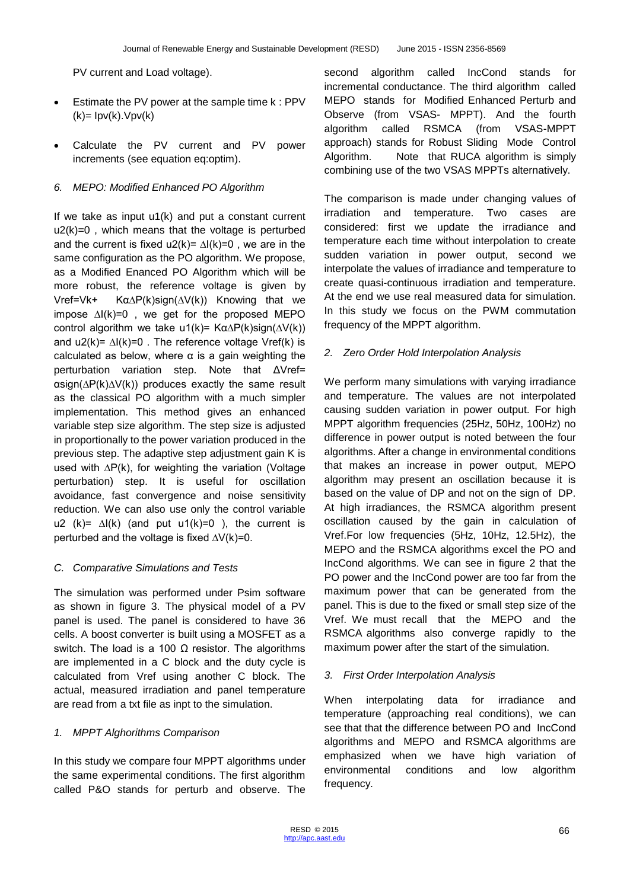PV current and Load voltage).

- **Estimate the PV power at the sample time k: PPV**  $(k)=$   $\text{lpv}(k)$ . $\text{Vpv}(k)$
- Calculate the PV current and PV power increments (see equation eq:optim).

#### *6. MEPO: Modified Enhanced PO Algorithm*

If we take as input u1(k) and put a constant current  $u2(k)=0$ , which means that the voltage is perturbed and the current is fixed u2(k)=  $\Delta I(k)=0$ , we are in the same configuration as the PO algorithm. We propose, as a Modified Enanced PO Algorithm which will be more robust, the reference voltage is given by Vref=Vk+ Kα∆P(k)sign(∆V(k)) Knowing that we impose ∆I(k)=0 , we get for the proposed MEPO control algorithm we take u1(k)=  $K\alpha\Delta P(k)$ sign( $\Delta V(k)$ ) and u2(k)=  $\Delta I(k)=0$ . The reference voltage Vref(k) is calculated as below, where  $\alpha$  is a gain weighting the perturbation variation step. Note that ΔVref= αsign(∆P(k)∆V(k)) produces exactly the same result as the classical PO algorithm with a much simpler implementation. This method gives an enhanced variable step size algorithm. The step size is adjusted in proportionally to the power variation produced in the previous step. The adaptive step adjustment gain K is used with ∆P(k), for weighting the variation (Voltage perturbation) step. It is useful for oscillation avoidance, fast convergence and noise sensitivity reduction. We can also use only the control variable u2 (k)=  $\Delta I(k)$  (and put u1(k)=0 ), the current is perturbed and the voltage is fixed ∆V(k)=0.

#### *C. Comparative Simulations and Tests*

The simulation was performed under Psim software as shown in figure 3. The physical model of a PV panel is used. The panel is considered to have 36 cells. A boost converter is built using a MOSFET as a switch. The load is a 100  $Ω$  resistor. The algorithms are implemented in a C block and the duty cycle is calculated from Vref using another C block. The actual, measured irradiation and panel temperature are read from a txt file as inpt to the simulation.

#### *1. MPPT Alghorithms Comparison*

In this study we compare four MPPT algorithms under the same experimental conditions. The first algorithm called P&O stands for perturb and observe. The

second algorithm called IncCond stands for incremental conductance. The third algorithm called MEPO stands for Modified Enhanced Perturb and Observe (from VSAS- MPPT). And the fourth algorithm called RSMCA (from VSAS-MPPT approach) stands for Robust Sliding Mode Control Algorithm. Note that RUCA algorithm is simply combining use of the two VSAS MPPTs alternatively.

The comparison is made under changing values of irradiation and temperature. Two cases are considered: first we update the irradiance and temperature each time without interpolation to create sudden variation in power output, second we interpolate the values of irradiance and temperature to create quasi-continuous irradiation and temperature. At the end we use real measured data for simulation. In this study we focus on the PWM commutation frequency of the MPPT algorithm.

#### *2. Zero Order Hold Interpolation Analysis*

We perform many simulations with varying irradiance and temperature. The values are not interpolated causing sudden variation in power output. For high MPPT algorithm frequencies (25Hz, 50Hz, 100Hz) no difference in power output is noted between the four algorithms. After a change in environmental conditions that makes an increase in power output, MEPO algorithm may present an oscillation because it is based on the value of DP and not on the sign of DP. At high irradiances, the RSMCA algorithm present oscillation caused by the gain in calculation of Vref.For low frequencies (5Hz, 10Hz, 12.5Hz), the MEPO and the RSMCA algorithms excel the PO and IncCond algorithms. We can see in figure 2 that the PO power and the IncCond power are too far from the maximum power that can be generated from the panel. This is due to the fixed or small step size of the Vref. We must recall that the MEPO and the RSMCA algorithms also converge rapidly to the maximum power after the start of the simulation.

#### *3. First Order Interpolation Analysis*

When interpolating data for irradiance and temperature (approaching real conditions), we can see that that the difference between PO and IncCond algorithms and MEPO and RSMCA algorithms are emphasized when we have high variation of environmental conditions and low algorithm frequency.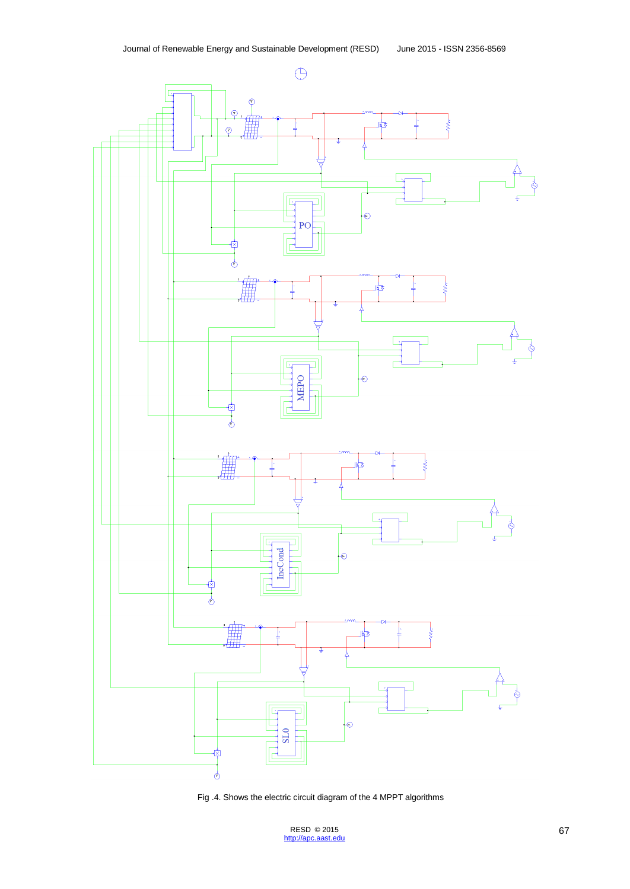

Fig .4. Shows the electric circuit diagram of the 4 MPPT algorithms

 $RESD$  © 2015 67 [http://apc.aast.edu](http://apc.aast.edu/)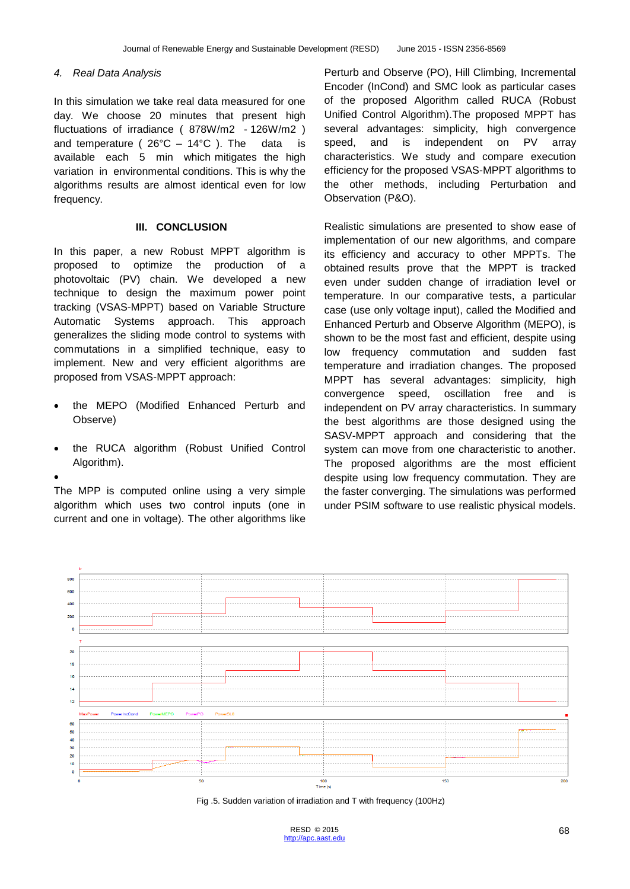#### *4. Real Data Analysis*

In this simulation we take real data measured for one day. We choose 20 minutes that present high fluctuations of irradiance ( 878W/m2 - 126W/m2 ) and temperature ( $26^{\circ}$ C – 14 $^{\circ}$ C). The data is available each 5 min which mitigates the high variation in environmental conditions. This is why the algorithms results are almost identical even for low frequency.

#### **III. CONCLUSION**

In this paper, a new Robust MPPT algorithm is proposed to optimize the production of a photovoltaic (PV) chain. We developed a new technique to design the maximum power point tracking (VSAS-MPPT) based on Variable Structure Automatic Systems approach. This approach generalizes the sliding mode control to systems with commutations in a simplified technique, easy to implement. New and very efficient algorithms are proposed from VSAS-MPPT approach:

- the MEPO (Modified Enhanced Perturb and Observe)
- the RUCA algorithm (Robust Unified Control Algorithm).
- $\bullet$

The MPP is computed online using a very simple algorithm which uses two control inputs (one in current and one in voltage). The other algorithms like

Perturb and Observe (PO), Hill Climbing, Incremental Encoder (InCond) and SMC look as particular cases of the proposed Algorithm called RUCA (Robust Unified Control Algorithm).The proposed MPPT has several advantages: simplicity, high convergence speed, and is independent on PV array characteristics. We study and compare execution efficiency for the proposed VSAS-MPPT algorithms to the other methods, including Perturbation and Observation (P&O).

Realistic simulations are presented to show ease of implementation of our new algorithms, and compare its efficiency and accuracy to other MPPTs. The obtained results prove that the MPPT is tracked even under sudden change of irradiation level or temperature. In our comparative tests, a particular case (use only voltage input), called the Modified and Enhanced Perturb and Observe Algorithm (MEPO), is shown to be the most fast and efficient, despite using low frequency commutation and sudden fast temperature and irradiation changes. The proposed MPPT has several advantages: simplicity, high convergence speed, oscillation free and is independent on PV array characteristics. In summary the best algorithms are those designed using the SASV-MPPT approach and considering that the system can move from one characteristic to another. The proposed algorithms are the most efficient despite using low frequency commutation. They are the faster converging. The simulations was performed under PSIM software to use realistic physical models.



Fig .5. Sudden variation of irradiation and T with frequency (100Hz)

RESD © 2015 68 [http://apc.aast.edu](http://apc.aast.edu/)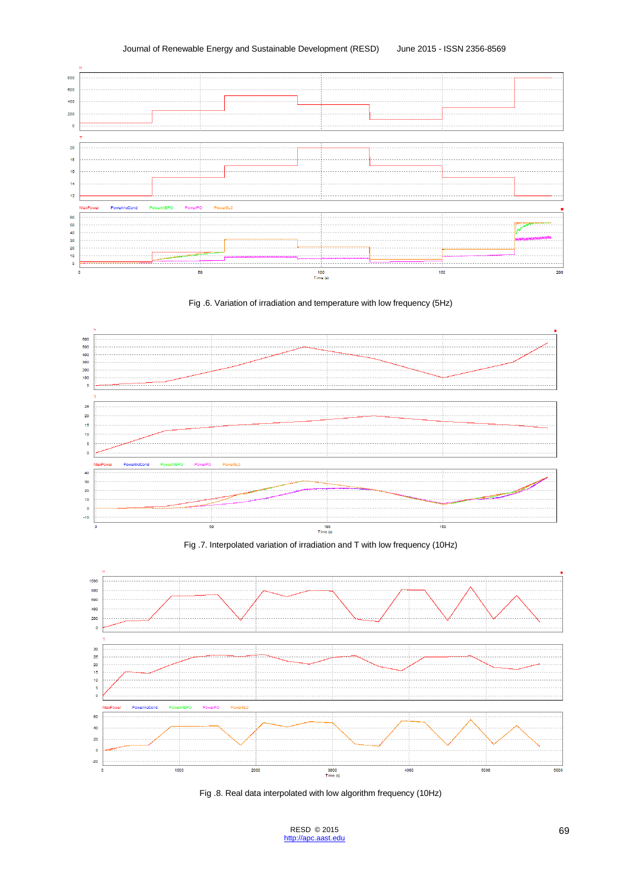









Fig .8. Real data interpolated with low algorithm frequency (10Hz)

 $RESD$  © 2015 69 [http://apc.aast.edu](http://apc.aast.edu/)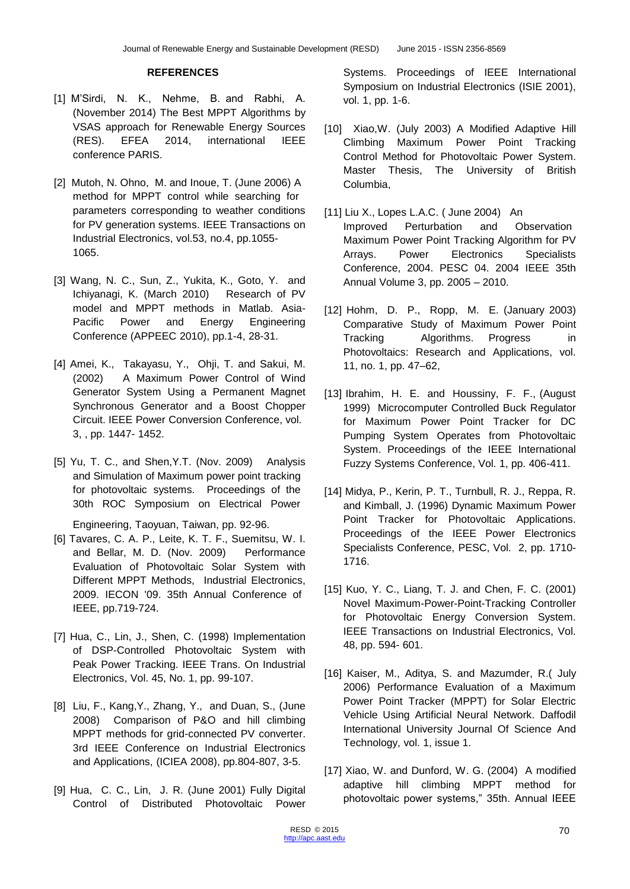#### **REFERENCES**

- [1] M'Sirdi, N. K., Nehme, B. and Rabhi, A. (November 2014) The Best MPPT Algorithms by VSAS approach for Renewable Energy Sources (RES). EFEA 2014, international IEEE conference PARIS.
- [2] Mutoh, N. Ohno, M. and Inoue, T. (June 2006) A method for MPPT control while searching for parameters corresponding to weather conditions for PV generation systems. IEEE Transactions on Industrial Electronics, vol.53, no.4, pp.1055- 1065.
- [3] Wang, N. C., Sun, Z., Yukita, K., Goto, Y. and Ichiyanagi, K. (March 2010) Research of PV model and MPPT methods in Matlab. Asia-Pacific Power and Energy Engineering Conference (APPEEC 2010), pp.1-4, 28-31.
- [4] Amei, K., Takayasu, Y., Ohji, T. and Sakui, M. (2002) A Maximum Power Control of Wind Generator System Using a Permanent Magnet Synchronous Generator and a Boost Chopper Circuit. IEEE Power Conversion Conference, vol. 3, , pp. 1447- 1452.
- [5] Yu, T. C., and Shen,Y.T. (Nov. 2009) Analysis and Simulation of Maximum power point tracking for photovoltaic systems. Proceedings of the 30th ROC Symposium on Electrical Power

Engineering, Taoyuan, Taiwan, pp. 92-96.

- [6] Tavares, C. A. P., Leite, K. T. F., Suemitsu, W. I. and Bellar, M. D. (Nov. 2009) Performance Evaluation of Photovoltaic Solar System with Different MPPT Methods, Industrial Electronics, 2009. IECON '09. 35th Annual Conference of IEEE, pp.719-724.
- [7] Hua, C., Lin, J., Shen, C. (1998) Implementation of DSP-Controlled Photovoltaic System with Peak Power Tracking. IEEE Trans. On Industrial Electronics, Vol. 45, No. 1, pp. 99-107.
- [8] Liu, F., Kang,Y., Zhang, Y., and Duan, S., (June 2008) Comparison of P&O and hill climbing MPPT methods for grid-connected PV converter. 3rd IEEE Conference on Industrial Electronics and Applications, (ICIEA 2008), pp.804-807, 3-5.
- [9] Hua, C. C., Lin, J. R. (June 2001) Fully Digital Control of Distributed Photovoltaic Power

Systems. Proceedings of IEEE International Symposium on Industrial Electronics (ISIE 2001), vol. 1, pp. 1-6.

- [10] Xiao,W. (July 2003) A Modified Adaptive Hill Climbing Maximum Power Point Tracking Control Method for Photovoltaic Power System. Master Thesis, The University of British Columbia,
- [11] Liu X., Lopes L.A.C. ( June 2004) An Improved Perturbation and Observation Maximum Power Point Tracking Algorithm for PV Arrays. Power Electronics Specialists Conference, 2004. PESC 04. 2004 IEEE 35th Annual Volume 3, pp. 2005 – 2010.
- [12] Hohm, D. P., Ropp, M. E. (January 2003) Comparative Study of Maximum Power Point Tracking Algorithms. Progress in Photovoltaics: Research and Applications, vol. 11, no. 1, pp. 47–62,
- [13] Ibrahim, H. E. and Houssiny, F. F., (August 1999) Microcomputer Controlled Buck Regulator for Maximum Power Point Tracker for DC Pumping System Operates from Photovoltaic System. Proceedings of the IEEE International Fuzzy Systems Conference, Vol. 1, pp. 406-411.
- [14] Midya, P., Kerin, P. T., Turnbull, R. J., Reppa, R. and Kimball, J. (1996) Dynamic Maximum Power Point Tracker for Photovoltaic Applications. Proceedings of the IEEE Power Electronics Specialists Conference, PESC, Vol. 2, pp. 1710- 1716.
- [15] Kuo, Y. C., Liang, T. J. and Chen, F. C. (2001) Novel Maximum-Power-Point-Tracking Controller for Photovoltaic Energy Conversion System. IEEE Transactions on Industrial Electronics, Vol. 48, pp. 594- 601.
- [16] Kaiser, M., Aditya, S. and Mazumder, R.( July 2006) Performance Evaluation of a Maximum Power Point Tracker (MPPT) for Solar Electric Vehicle Using Artificial Neural Network. Daffodil International University Journal Of Science And Technology, vol. 1, issue 1.
- [17] Xiao, W. and Dunford, W. G. (2004) A modified adaptive hill climbing MPPT method for photovoltaic power systems," 35th. Annual IEEE